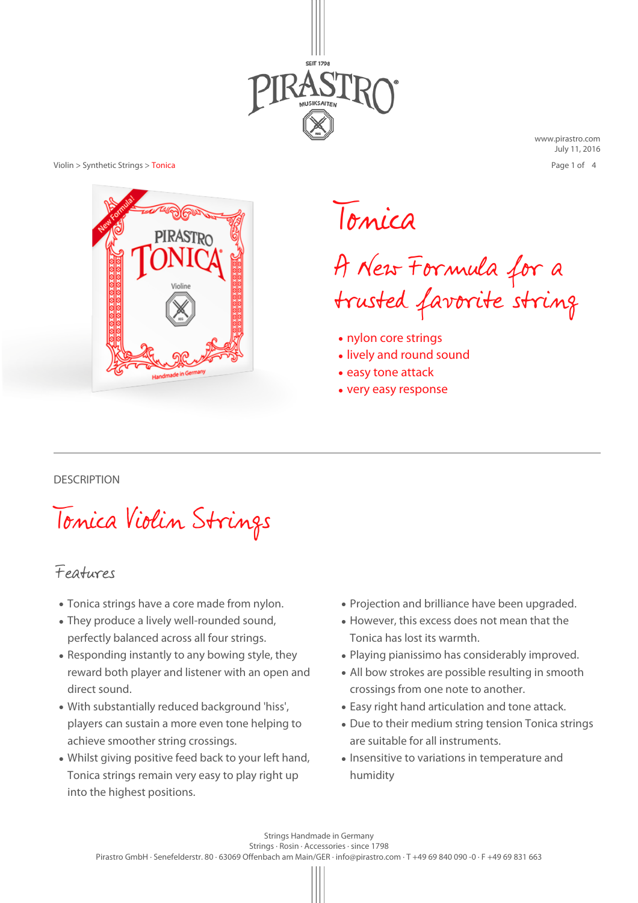

[www.pirastro.com](http://www.pirastro.com/public_pirastro/pages/en/) July 11, 2016 Page 1 of 4



Tonica

A New Formula for a trusted favorite string

- nylon core strings
- lively and round sound
- easy tone attack
- very easy response

### **DESCRIPTION**

Tonica Violin Strings

# Features

- Tonica strings have a core made from nylon.
- They produce a lively well-rounded sound, perfectly balanced across all four strings.
- Responding instantly to any bowing style, they reward both player and listener with an open and direct sound.
- With substantially reduced background 'hiss', players can sustain a more even tone helping to achieve smoother string crossings.
- Whilst giving positive feed back to your left hand, Tonica strings remain very easy to play right up into the highest positions.
- Projection and brilliance have been upgraded.
- However, this excess does not mean that the Tonica has lost its warmth.
- Playing pianissimo has considerably improved.
- All bow strokes are possible resulting in smooth crossings from one note to another.
- Easy right hand articulation and tone attack.
- Due to their medium string tension Tonica strings are suitable for all instruments.
- Insensitive to variations in temperature and humidity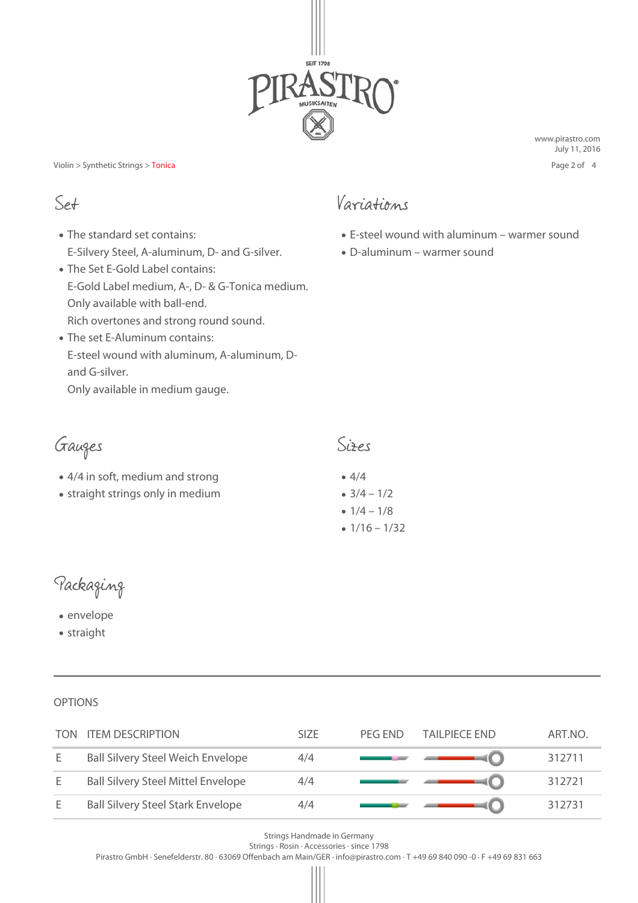

[www.pirastro.com](http://www.pirastro.com/public_pirastro/pages/en/) July 11, 2016 Page 2 of 4

- The standard set contains: E-Silvery Steel, A-aluminum, D- and G-silver.
- The Set E-Gold Label contains: E-Gold Label medium, A-, D- & G-Tonica medium. Only available with ball-end. Rich overtones and strong round sound.
- The set E-Aluminum contains: E-steel wound with aluminum, A-aluminum, Dand G-silver.

Only available in medium gauge.

Gauges Sizes

- 4/4 in soft, medium and strong
- straight strings only in medium

# Set Variations

- $\bullet$  E-steel wound with aluminum warmer sound
- D-aluminum warmer sound

- $4/4$
- $3/4 1/2$
- $1/4 1/8$
- $1/16 1/32$

Packaging

● envelope

● straight

**OPTIONS** 

| TON | <b>ITEM DESCRIPTION</b>                   | <b>SIZE</b> | PFG FND | TAILPIECE END | ART.NO. |
|-----|-------------------------------------------|-------------|---------|---------------|---------|
| E   | <b>Ball Silvery Steel Weich Envelope</b>  | 4/4         |         |               | 312711  |
| E   | <b>Ball Silvery Steel Mittel Envelope</b> | 4/4         |         |               | 312721  |
| E   | <b>Ball Silvery Steel Stark Envelope</b>  | 4/4         |         |               | 312731  |

Strings Handmade in Germany

Strings · Rosin · Accessories · since 1798

Pirastro GmbH · Senefelderstr. 80 · 63069 Offenbach am Main/GER · info@pirastro.com · T +49 69 840 090 -0 · F +49 69 831 663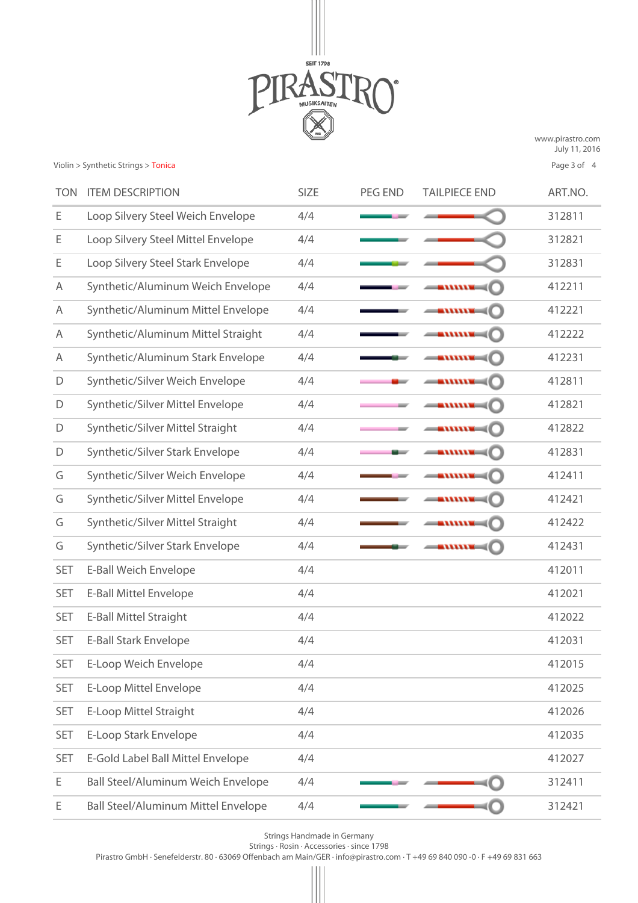

[www.pirastro.com](http://www.pirastro.com/public_pirastro/pages/en/) July 11, 2016 Page 3 of 4

| <b>TON</b> | <b>ITEM DESCRIPTION</b>                    | SIZE | <b>PEG END</b> | <b>TAILPIECE END</b>                                                                                                                                                                                                                                                                                                     | ART.NO. |
|------------|--------------------------------------------|------|----------------|--------------------------------------------------------------------------------------------------------------------------------------------------------------------------------------------------------------------------------------------------------------------------------------------------------------------------|---------|
| Ε          | Loop Silvery Steel Weich Envelope          | 4/4  |                |                                                                                                                                                                                                                                                                                                                          | 312811  |
| Е          | Loop Silvery Steel Mittel Envelope         | 4/4  |                |                                                                                                                                                                                                                                                                                                                          | 312821  |
| Е          | Loop Silvery Steel Stark Envelope          | 4/4  |                |                                                                                                                                                                                                                                                                                                                          | 312831  |
| A          | Synthetic/Aluminum Weich Envelope          | 4/4  |                | $-$                                                                                                                                                                                                                                                                                                                      | 412211  |
| A          | Synthetic/Aluminum Mittel Envelope         | 4/4  |                | $ \cdots$                                                                                                                                                                                                                                                                                                                | 412221  |
| A          | Synthetic/Aluminum Mittel Straight         | 4/4  |                |                                                                                                                                                                                                                                                                                                                          | 412222  |
| A          | Synthetic/Aluminum Stark Envelope          | 4/4  |                | $-$                                                                                                                                                                                                                                                                                                                      | 412231  |
| D          | Synthetic/Silver Weich Envelope            | 4/4  |                | $ \cdots$                                                                                                                                                                                                                                                                                                                | 412811  |
| D          | Synthetic/Silver Mittel Envelope           | 4/4  |                | $ \mathbf{m}\mathbf{u}$                                                                                                                                                                                                                                                                                                  | 412821  |
| D          | Synthetic/Silver Mittel Straight           | 4/4  |                | $-$                                                                                                                                                                                                                                                                                                                      | 412822  |
| D          | Synthetic/Silver Stark Envelope            | 4/4  |                | $ \mathbf{u}$ $\mathbf{u}$ $\mathbf{u}$ $\mathbf{u}$ $\mathbf{u}$ $\mathbf{u}$ $\mathbf{u}$ $\mathbf{u}$ $\mathbf{u}$ $\mathbf{u}$ $\mathbf{u}$ $\mathbf{u}$ $\mathbf{u}$ $\mathbf{u}$ $\mathbf{u}$ $\mathbf{u}$ $\mathbf{u}$ $\mathbf{u}$ $\mathbf{u}$ $\mathbf{u}$ $\mathbf{u}$ $\mathbf{u}$ $\mathbf{u}$ $\mathbf{u}$ | 412831  |
| G          | Synthetic/Silver Weich Envelope            | 4/4  |                | $ \cdots$                                                                                                                                                                                                                                                                                                                | 412411  |
| G          | Synthetic/Silver Mittel Envelope           | 4/4  |                | — WWW                                                                                                                                                                                                                                                                                                                    | 412421  |
| G          | Synthetic/Silver Mittel Straight           | 4/4  |                | $ \blacksquare$                                                                                                                                                                                                                                                                                                          | 412422  |
| G          | Synthetic/Silver Stark Envelope            | 4/4  |                | $-$ mmu $-$                                                                                                                                                                                                                                                                                                              | 412431  |
| <b>SET</b> | E-Ball Weich Envelope                      | 4/4  |                |                                                                                                                                                                                                                                                                                                                          | 412011  |
| <b>SET</b> | <b>E-Ball Mittel Envelope</b>              | 4/4  |                |                                                                                                                                                                                                                                                                                                                          | 412021  |
| <b>SET</b> | E-Ball Mittel Straight                     | 4/4  |                |                                                                                                                                                                                                                                                                                                                          | 412022  |
| <b>SET</b> | <b>E-Ball Stark Envelope</b>               | 4/4  |                |                                                                                                                                                                                                                                                                                                                          | 412031  |
| <b>SET</b> | E-Loop Weich Envelope                      | 4/4  |                |                                                                                                                                                                                                                                                                                                                          | 412015  |
| <b>SET</b> | E-Loop Mittel Envelope                     | 4/4  |                |                                                                                                                                                                                                                                                                                                                          | 412025  |
| <b>SET</b> | E-Loop Mittel Straight                     | 4/4  |                |                                                                                                                                                                                                                                                                                                                          | 412026  |
| <b>SET</b> | E-Loop Stark Envelope                      | 4/4  |                |                                                                                                                                                                                                                                                                                                                          | 412035  |
| <b>SET</b> | E-Gold Label Ball Mittel Envelope          | 4/4  |                |                                                                                                                                                                                                                                                                                                                          | 412027  |
| Е          | <b>Ball Steel/Aluminum Weich Envelope</b>  | 4/4  |                |                                                                                                                                                                                                                                                                                                                          | 312411  |
| Ε          | <b>Ball Steel/Aluminum Mittel Envelope</b> | 4/4  |                |                                                                                                                                                                                                                                                                                                                          | 312421  |

Strings Handmade in Germany

Strings · Rosin · Accessories · since 1798

Pirastro GmbH · Senefelderstr. 80 · 63069 Offenbach am Main/GER · info@pirastro.com · T +49 69 840 090 -0 · F +49 69 831 663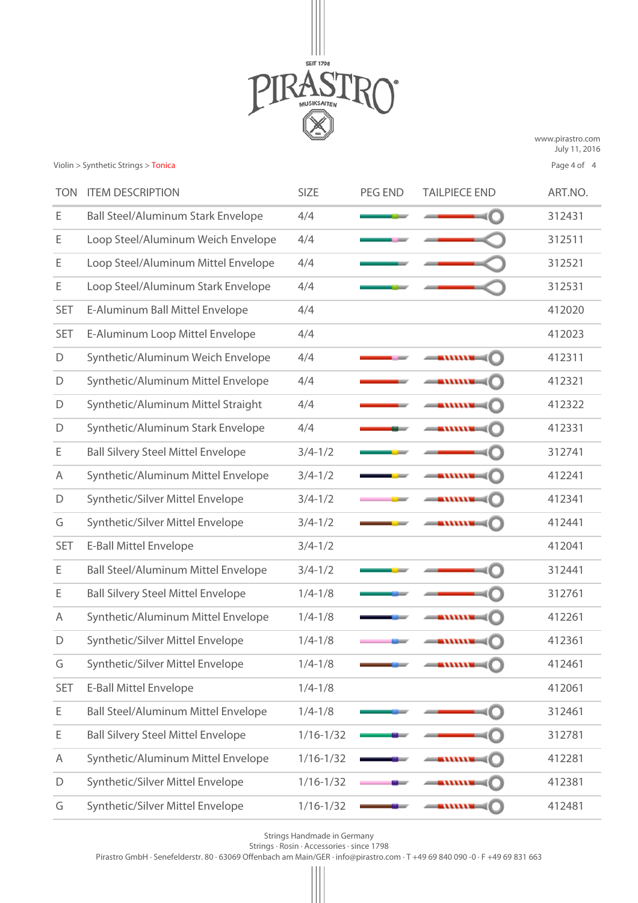

[www.pirastro.com](http://www.pirastro.com/public_pirastro/pages/en/) July 11, 2016 Page 4 of 4

| <b>TON</b> | <b>ITEM DESCRIPTION</b>                    | SIZE          | <b>PEG END</b> | <b>TAILPIECE END</b>                                                                                                                                                                                                                                                                                                     | ART.NO. |
|------------|--------------------------------------------|---------------|----------------|--------------------------------------------------------------------------------------------------------------------------------------------------------------------------------------------------------------------------------------------------------------------------------------------------------------------------|---------|
| Е          | <b>Ball Steel/Aluminum Stark Envelope</b>  | 4/4           |                |                                                                                                                                                                                                                                                                                                                          | 312431  |
| Е          | Loop Steel/Aluminum Weich Envelope         | 4/4           |                |                                                                                                                                                                                                                                                                                                                          | 312511  |
| Ε          | Loop Steel/Aluminum Mittel Envelope        | 4/4           |                |                                                                                                                                                                                                                                                                                                                          | 312521  |
| Е          | Loop Steel/Aluminum Stark Envelope         | 4/4           |                |                                                                                                                                                                                                                                                                                                                          | 312531  |
| <b>SET</b> | E-Aluminum Ball Mittel Envelope            | 4/4           |                |                                                                                                                                                                                                                                                                                                                          | 412020  |
| <b>SET</b> | E-Aluminum Loop Mittel Envelope            | 4/4           |                |                                                                                                                                                                                                                                                                                                                          | 412023  |
| D          | Synthetic/Aluminum Weich Envelope          | 4/4           |                | $-$                                                                                                                                                                                                                                                                                                                      | 412311  |
| D          | Synthetic/Aluminum Mittel Envelope         | 4/4           |                | $ \cdots$                                                                                                                                                                                                                                                                                                                | 412321  |
| D          | Synthetic/Aluminum Mittel Straight         | 4/4           |                | $ \cdots$                                                                                                                                                                                                                                                                                                                | 412322  |
| D          | Synthetic/Aluminum Stark Envelope          | 4/4           |                | $-$                                                                                                                                                                                                                                                                                                                      | 412331  |
| E          | <b>Ball Silvery Steel Mittel Envelope</b>  | $3/4 - 1/2$   |                |                                                                                                                                                                                                                                                                                                                          | 312741  |
| A          | Synthetic/Aluminum Mittel Envelope         | $3/4 - 1/2$   |                | $ \cdots$                                                                                                                                                                                                                                                                                                                | 412241  |
| D          | Synthetic/Silver Mittel Envelope           | $3/4 - 1/2$   |                | $\longrightarrow$                                                                                                                                                                                                                                                                                                        | 412341  |
| G          | Synthetic/Silver Mittel Envelope           | $3/4 - 1/2$   |                | $ \cdots$                                                                                                                                                                                                                                                                                                                | 412441  |
| <b>SET</b> | <b>E-Ball Mittel Envelope</b>              | $3/4 - 1/2$   |                |                                                                                                                                                                                                                                                                                                                          | 412041  |
| Ε          | <b>Ball Steel/Aluminum Mittel Envelope</b> | $3/4 - 1/2$   |                |                                                                                                                                                                                                                                                                                                                          | 312441  |
| E          | <b>Ball Silvery Steel Mittel Envelope</b>  | $1/4 - 1/8$   |                |                                                                                                                                                                                                                                                                                                                          | 312761  |
| A          | Synthetic/Aluminum Mittel Envelope         | $1/4 - 1/8$   |                |                                                                                                                                                                                                                                                                                                                          | 412261  |
| D          | Synthetic/Silver Mittel Envelope           | $1/4 - 1/8$   |                |                                                                                                                                                                                                                                                                                                                          | 412361  |
| G          | Synthetic/Silver Mittel Envelope           | $1/4 - 1/8$   |                | annn <b>-</b>                                                                                                                                                                                                                                                                                                            | 412461  |
| <b>SET</b> | <b>E-Ball Mittel Envelope</b>              | $1/4 - 1/8$   |                |                                                                                                                                                                                                                                                                                                                          | 412061  |
| Е          | <b>Ball Steel/Aluminum Mittel Envelope</b> | $1/4 - 1/8$   |                |                                                                                                                                                                                                                                                                                                                          | 312461  |
| Ε          | <b>Ball Silvery Steel Mittel Envelope</b>  | $1/16 - 1/32$ |                |                                                                                                                                                                                                                                                                                                                          | 312781  |
| Α          | Synthetic/Aluminum Mittel Envelope         | $1/16 - 1/32$ |                | $ \cdots$                                                                                                                                                                                                                                                                                                                | 412281  |
| D          | Synthetic/Silver Mittel Envelope           | $1/16 - 1/32$ |                | $-$                                                                                                                                                                                                                                                                                                                      | 412381  |
| G          | Synthetic/Silver Mittel Envelope           | $1/16 - 1/32$ |                | $ \mathbf{u}$ $\mathbf{u}$ $\mathbf{u}$ $\mathbf{u}$ $\mathbf{u}$ $\mathbf{u}$ $\mathbf{u}$ $\mathbf{u}$ $\mathbf{u}$ $\mathbf{u}$ $\mathbf{u}$ $\mathbf{u}$ $\mathbf{u}$ $\mathbf{u}$ $\mathbf{u}$ $\mathbf{u}$ $\mathbf{u}$ $\mathbf{u}$ $\mathbf{u}$ $\mathbf{u}$ $\mathbf{u}$ $\mathbf{u}$ $\mathbf{u}$ $\mathbf{u}$ | 412481  |

Strings Handmade in Germany

Strings · Rosin · Accessories · since 1798

Pirastro GmbH · Senefelderstr. 80 · 63069 Offenbach am Main/GER · info@pirastro.com · T +49 69 840 090 -0 · F +49 69 831 663